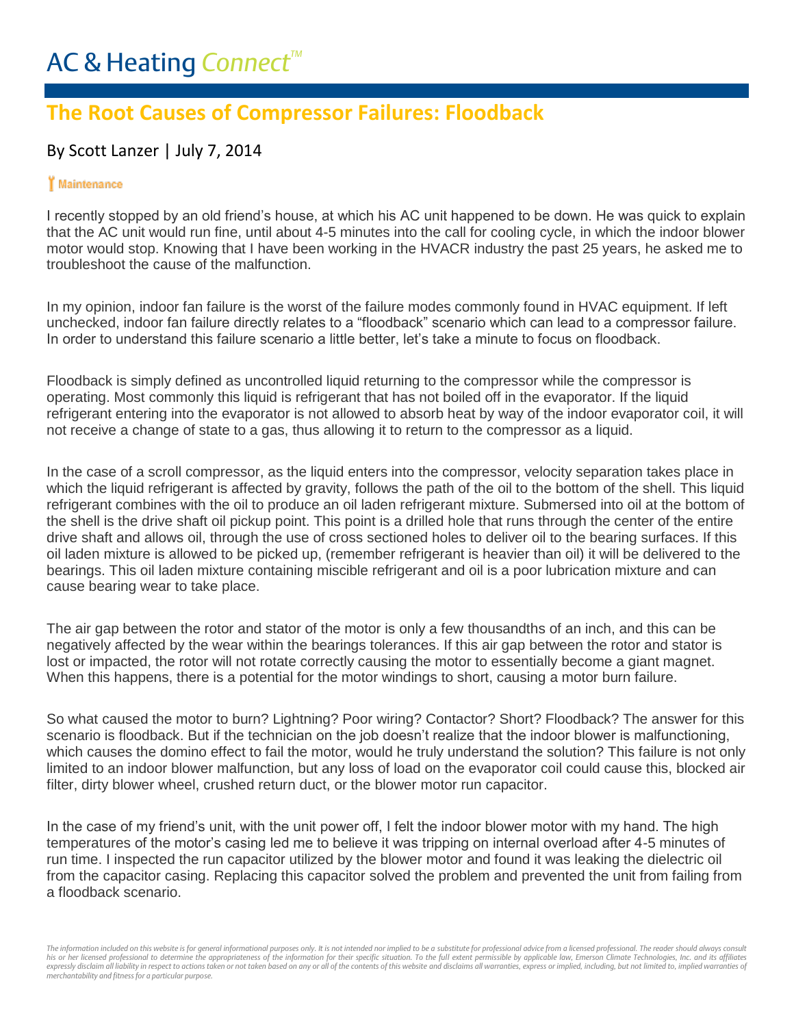## **The Root Causes of Compressor Failures: Floodback**

## By Scott Lanzer | July 7, 2014

## Maintenance

I recently stopped by an old friend's house, at which his AC unit happened to be down. He was quick to explain that the AC unit would run fine, until about 4-5 minutes into the call for cooling cycle, in which the indoor blower motor would stop. Knowing that I have been working in the HVACR industry the past 25 years, he asked me to troubleshoot the cause of the malfunction.

In my opinion, indoor fan failure is the worst of the failure modes commonly found in HVAC equipment. If left unchecked, indoor fan failure directly relates to a "floodback" scenario which can lead to a compressor failure. In order to understand this failure scenario a little better, let's take a minute to focus on floodback.

Floodback is simply defined as uncontrolled liquid returning to the compressor while the compressor is operating. Most commonly this liquid is refrigerant that has not boiled off in the evaporator. If the liquid refrigerant entering into the evaporator is not allowed to absorb heat by way of the indoor evaporator coil, it will not receive a change of state to a gas, thus allowing it to return to the compressor as a liquid.

In the case of a scroll compressor, as the liquid enters into the compressor, velocity separation takes place in which the liquid refrigerant is affected by gravity, follows the path of the oil to the bottom of the shell. This liquid refrigerant combines with the oil to produce an oil laden refrigerant mixture. Submersed into oil at the bottom of the shell is the drive shaft oil pickup point. This point is a drilled hole that runs through the center of the entire drive shaft and allows oil, through the use of cross sectioned holes to deliver oil to the bearing surfaces. If this oil laden mixture is allowed to be picked up, (remember refrigerant is heavier than oil) it will be delivered to the bearings. This oil laden mixture containing miscible refrigerant and oil is a poor lubrication mixture and can cause bearing wear to take place.

The air gap between the rotor and stator of the motor is only a few thousandths of an inch, and this can be negatively affected by the wear within the bearings tolerances. If this air gap between the rotor and stator is lost or impacted, the rotor will not rotate correctly causing the motor to essentially become a giant magnet. When this happens, there is a potential for the motor windings to short, causing a motor burn failure.

So what caused the motor to burn? Lightning? Poor wiring? Contactor? Short? Floodback? The answer for this scenario is floodback. But if the technician on the job doesn't realize that the indoor blower is malfunctioning, which causes the domino effect to fail the motor, would he truly understand the solution? This failure is not only limited to an indoor blower malfunction, but any loss of load on the evaporator coil could cause this, blocked air filter, dirty blower wheel, crushed return duct, or the blower motor run capacitor.

In the case of my friend's unit, with the unit power off, I felt the indoor blower motor with my hand. The high temperatures of the motor's casing led me to believe it was tripping on internal overload after 4-5 minutes of run time. I inspected the run capacitor utilized by the blower motor and found it was leaking the dielectric oil from the capacitor casing. Replacing this capacitor solved the problem and prevented the unit from failing from a floodback scenario.

The information included on this website is for general informational purposes only. It is not intended nor implied to be a substitute for professional advice from a licensed professional. The reader should always consult his or her licensed professional to determine the appropriateness of the information for their specific situation. To the full extent permissible by applicable law, Emerson Climate Technologies, Inc. and its affiliates expressly disclaim all liability in respect to actions taken or not taken based on any or all of the contents of this website and disclaims all warranties, express or implied, including, but not limited to, implied warrant *merchantability and fitness for a particular purpose.*